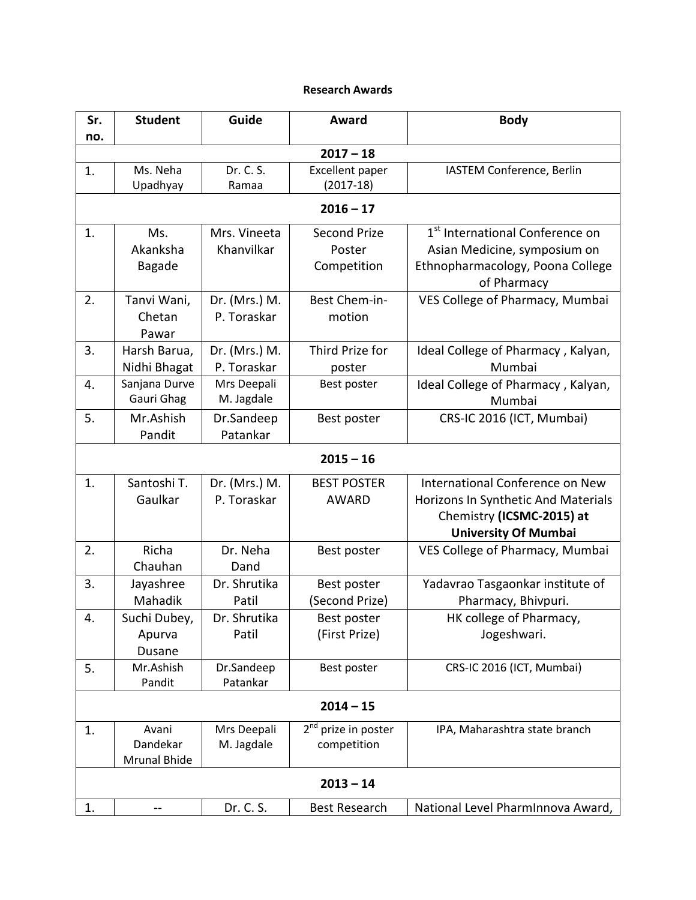## **Research Awards**

| Sr.         | <b>Student</b>                    | Guide                        | Award                                          | <b>Body</b>                                                                                                                        |  |  |  |
|-------------|-----------------------------------|------------------------------|------------------------------------------------|------------------------------------------------------------------------------------------------------------------------------------|--|--|--|
| no.         |                                   |                              |                                                |                                                                                                                                    |  |  |  |
| $2017 - 18$ |                                   |                              |                                                |                                                                                                                                    |  |  |  |
| 1.          | Ms. Neha<br>Upadhyay              | Dr. C. S.<br>Ramaa           | Excellent paper<br>$(2017-18)$                 | IASTEM Conference, Berlin                                                                                                          |  |  |  |
| $2016 - 17$ |                                   |                              |                                                |                                                                                                                                    |  |  |  |
| 1.          | Ms.<br>Akanksha<br><b>Bagade</b>  | Mrs. Vineeta<br>Khanvilkar   | <b>Second Prize</b><br>Poster<br>Competition   | 1 <sup>st</sup> International Conference on<br>Asian Medicine, symposium on<br>Ethnopharmacology, Poona College<br>of Pharmacy     |  |  |  |
| 2.          | Tanvi Wani,<br>Chetan<br>Pawar    | Dr. (Mrs.) M.<br>P. Toraskar | Best Chem-in-<br>motion                        | VES College of Pharmacy, Mumbai                                                                                                    |  |  |  |
| 3.          | Harsh Barua,<br>Nidhi Bhagat      | Dr. (Mrs.) M.<br>P. Toraskar | Third Prize for<br>poster                      | Ideal College of Pharmacy, Kalyan,<br>Mumbai                                                                                       |  |  |  |
| 4.          | Sanjana Durve<br>Gauri Ghag       | Mrs Deepali<br>M. Jagdale    | Best poster                                    | Ideal College of Pharmacy, Kalyan,<br>Mumbai                                                                                       |  |  |  |
| 5.          | Mr.Ashish<br>Pandit               | Dr.Sandeep<br>Patankar       | Best poster                                    | CRS-IC 2016 (ICT, Mumbai)                                                                                                          |  |  |  |
| $2015 - 16$ |                                   |                              |                                                |                                                                                                                                    |  |  |  |
| 1.          | Santoshi T.<br>Gaulkar            | Dr. (Mrs.) M.<br>P. Toraskar | <b>BEST POSTER</b><br><b>AWARD</b>             | International Conference on New<br>Horizons In Synthetic And Materials<br>Chemistry (ICSMC-2015) at<br><b>University Of Mumbai</b> |  |  |  |
| 2.          | Richa<br>Chauhan                  | Dr. Neha<br>Dand             | Best poster                                    | VES College of Pharmacy, Mumbai                                                                                                    |  |  |  |
| 3.          | Jayashree<br>Mahadik              | Dr. Shrutika<br>Patil        | Best poster<br>(Second Prize)                  | Yadavrao Tasgaonkar institute of<br>Pharmacy, Bhivpuri.                                                                            |  |  |  |
| 4.          | Suchi Dubey,<br>Apurva<br>Dusane  | Dr. Shrutika<br>Patil        | Best poster<br>(First Prize)                   | HK college of Pharmacy,<br>Jogeshwari.                                                                                             |  |  |  |
| 5.          | Mr.Ashish<br>Pandit               | Dr.Sandeep<br>Patankar       | Best poster                                    | CRS-IC 2016 (ICT, Mumbai)                                                                                                          |  |  |  |
| $2014 - 15$ |                                   |                              |                                                |                                                                                                                                    |  |  |  |
| 1.          | Avani<br>Dandekar<br>Mrunal Bhide | Mrs Deepali<br>M. Jagdale    | 2 <sup>nd</sup> prize in poster<br>competition | IPA, Maharashtra state branch                                                                                                      |  |  |  |
| $2013 - 14$ |                                   |                              |                                                |                                                                                                                                    |  |  |  |
| 1.          |                                   | Dr. C. S.                    | <b>Best Research</b>                           | National Level PharmInnova Award,                                                                                                  |  |  |  |